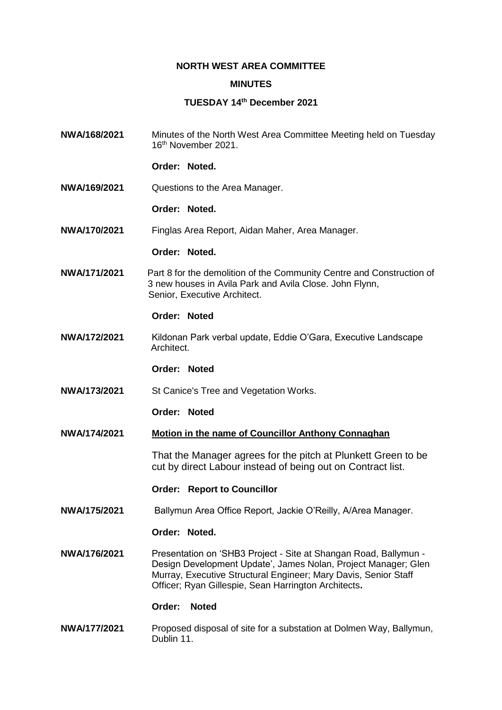# **NORTH WEST AREA COMMITTEE**

# **MINUTES**

## **TUESDAY 14th December 2021**

**NWA/168/2021** Minutes of the North West Area Committee Meeting held on Tuesday 16th November 2021.

**Order: Noted.**

**NWA/169/2021** Questions to the Area Manager.

#### **Order: Noted.**

**NWA/170/2021** Finglas Area Report, Aidan Maher, Area Manager.

#### **Order: Noted.**

**NWA/171/2021** Part 8 for the demolition of the Community Centre and Construction of 3 new houses in Avila Park and Avila Close. John Flynn, Senior, Executive Architect.

### **Order: Noted**

**NWA/172/2021** Kildonan Park verbal update, Eddie O'Gara, Executive Landscape **Architect** 

# **Order: Noted**

**NWA/173/2021** St Canice's Tree and Vegetation Works.

### **Order: Noted**

**NWA/174/2021 Motion in the name of Councillor Anthony Connaghan** 

That the Manager agrees for the pitch at Plunkett Green to be cut by direct Labour instead of being out on Contract list.

### **Order: Report to Councillor**

**NWA/175/2021** Ballymun Area Office Report, Jackie O'Reilly, A/Area Manager.

### **Order: Noted.**

**NWA/176/2021** Presentation on 'SHB3 Project - Site at Shangan Road, Ballymun - Design Development Update', James Nolan, Project Manager; Glen Murray, Executive Structural Engineer; Mary Davis, Senior Staff Officer; Ryan Gillespie, Sean Harrington Architects**.**

## **Order: Noted**

**NWA/177/2021** Proposed disposal of site for a substation at Dolmen Way, Ballymun, Dublin 11.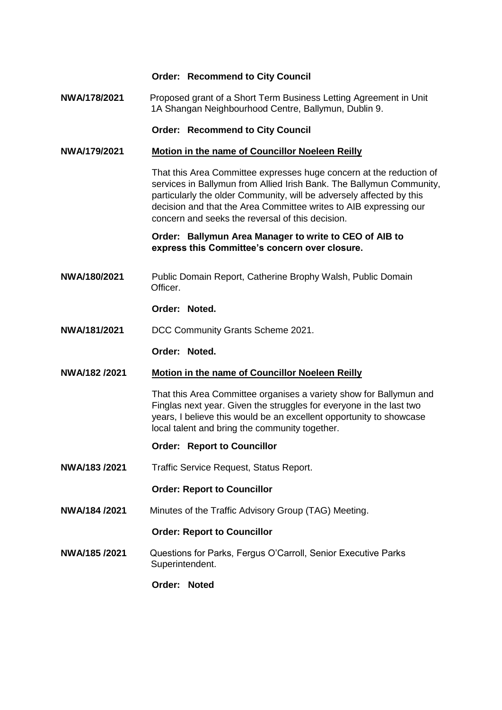# **Order: Recommend to City Council**

**NWA/178/2021** Proposed grant of a Short Term Business Letting Agreement in Unit 1A Shangan Neighbourhood Centre, Ballymun, Dublin 9.

**Order: Recommend to City Council**

# **NWA/179/2021 Motion in the name of Councillor Noeleen Reilly**

That this Area Committee expresses huge concern at the reduction of services in Ballymun from Allied Irish Bank. The Ballymun Community, particularly the older Community, will be adversely affected by this decision and that the Area Committee writes to AIB expressing our concern and seeks the reversal of this decision.

**Order: Ballymun Area Manager to write to CEO of AIB to express this Committee's concern over closure.**

**NWA/180/2021** Public Domain Report, Catherine Brophy Walsh, Public Domain Officer.

# **Order: Noted.**

**NWA/181/2021** DCC Community Grants Scheme 2021.

### **Order: Noted.**

### **NWA/182 /2021 Motion in the name of Councillor Noeleen Reilly**

That this Area Committee organises a variety show for Ballymun and Finglas next year. Given the struggles for everyone in the last two years, I believe this would be an excellent opportunity to showcase local talent and bring the community together.

- **Order: Report to Councillor**
- **NWA/183 /2021** Traffic Service Request, Status Report.

### **Order: Report to Councillor**

**NWA/184 /2021** Minutes of the Traffic Advisory Group (TAG) Meeting.

### **Order: Report to Councillor**

**NWA/185 /2021** Questions for Parks, Fergus O'Carroll, Senior Executive Parks Superintendent.

## **Order: Noted**